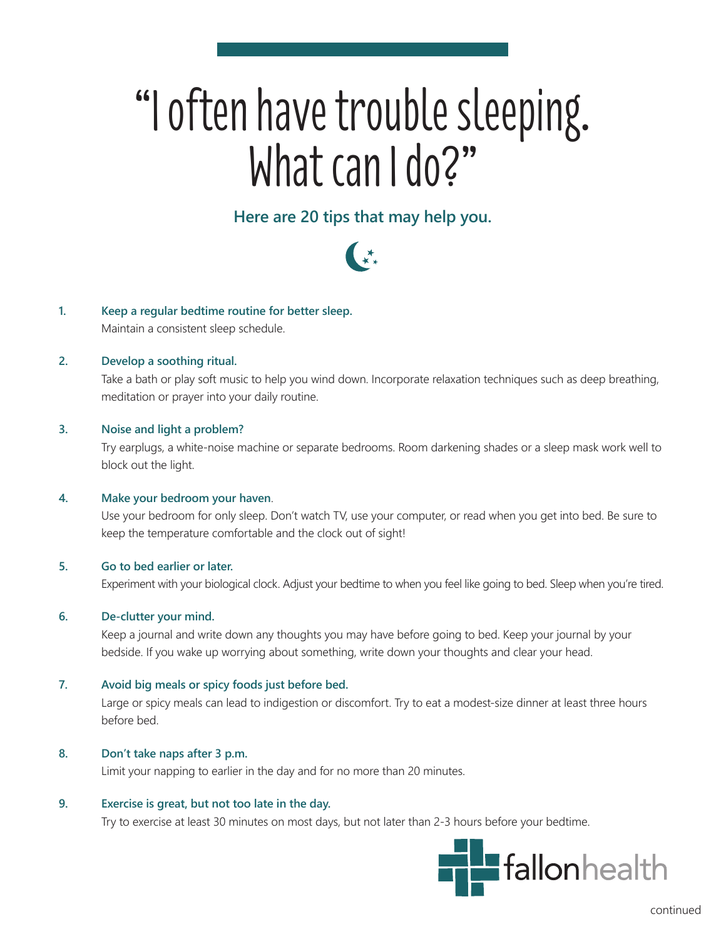# "I often have trouble sleeping. What can I do?"

# **Here are 20 tips that may help you.**



# **1. Keep a regular bedtime routine for better sleep.**

Maintain a consistent sleep schedule.

# **2. Develop a soothing ritual.**

Take a bath or play soft music to help you wind down. Incorporate relaxation techniques such as deep breathing, meditation or prayer into your daily routine.

# **3. Noise and light a problem?**

Try earplugs, a white-noise machine or separate bedrooms. Room darkening shades or a sleep mask work well to block out the light.

#### **4. Make your bedroom your haven**.

Use your bedroom for only sleep. Don't watch TV, use your computer, or read when you get into bed. Be sure to keep the temperature comfortable and the clock out of sight!

# **5. Go to bed earlier or later.**

Experiment with your biological clock. Adjust your bedtime to when you feel like going to bed. Sleep when you're tired.

#### **6. De-clutter your mind.**

Keep a journal and write down any thoughts you may have before going to bed. Keep your journal by your bedside. If you wake up worrying about something, write down your thoughts and clear your head.

#### **7. Avoid big meals or spicy foods just before bed.**

Large or spicy meals can lead to indigestion or discomfort. Try to eat a modest-size dinner at least three hours before bed.

#### **8. Don't take naps after 3 p.m.**

Limit your napping to earlier in the day and for no more than 20 minutes.

#### **9. Exercise is great, but not too late in the day.**

Try to exercise at least 30 minutes on most days, but not later than 2-3 hours before your bedtime.